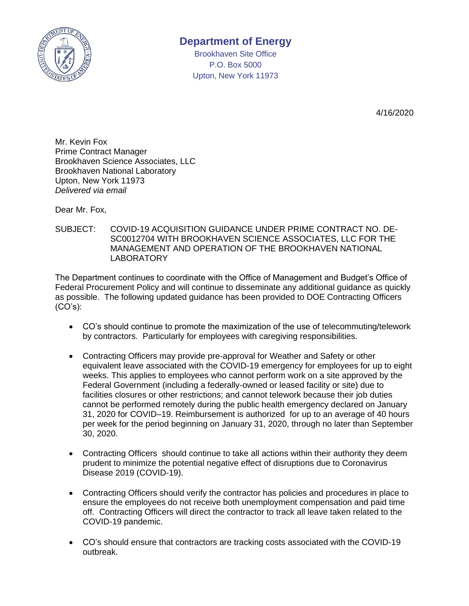

## **Department of Energy**

Brookhaven Site Office P.O. Box 5000 Upton, New York 11973

4/16/2020

Mr. Kevin Fox Prime Contract Manager Brookhaven Science Associates, LLC Brookhaven National Laboratory Upton, New York 11973 *Delivered via email*

Dear Mr. Fox,

SUBJECT: COVID-19 ACQUISITION GUIDANCE UNDER PRIME CONTRACT NO. DE-SC0012704 WITH BROOKHAVEN SCIENCE ASSOCIATES, LLC FOR THE MANAGEMENT AND OPERATION OF THE BROOKHAVEN NATIONAL LABORATORY

The Department continues to coordinate with the Office of Management and Budget's Office of Federal Procurement Policy and will continue to disseminate any additional guidance as quickly as possible. The following updated guidance has been provided to DOE Contracting Officers  $(CO's)$ :

- CO's should continue to promote the maximization of the use of telecommuting/telework by contractors. Particularly for employees with caregiving responsibilities.
- Contracting Officers may provide pre-approval for Weather and Safety or other equivalent leave associated with the COVID-19 emergency for employees for up to eight weeks. This applies to employees who cannot perform work on a site approved by the Federal Government (including a federally-owned or leased facility or site) due to facilities closures or other restrictions; and cannot telework because their job duties cannot be performed remotely during the public health emergency declared on January 31, 2020 for COVID–19. Reimbursement is authorized for up to an average of 40 hours per week for the period beginning on January 31, 2020, through no later than September 30, 2020.
- Contracting Officers should continue to take all actions within their authority they deem prudent to minimize the potential negative effect of disruptions due to Coronavirus Disease 2019 (COVID-19).
- Contracting Officers should verify the contractor has policies and procedures in place to ensure the employees do not receive both unemployment compensation and paid time off. Contracting Officers will direct the contractor to track all leave taken related to the COVID-19 pandemic.
- CO's should ensure that contractors are tracking costs associated with the COVID-19 outbreak.